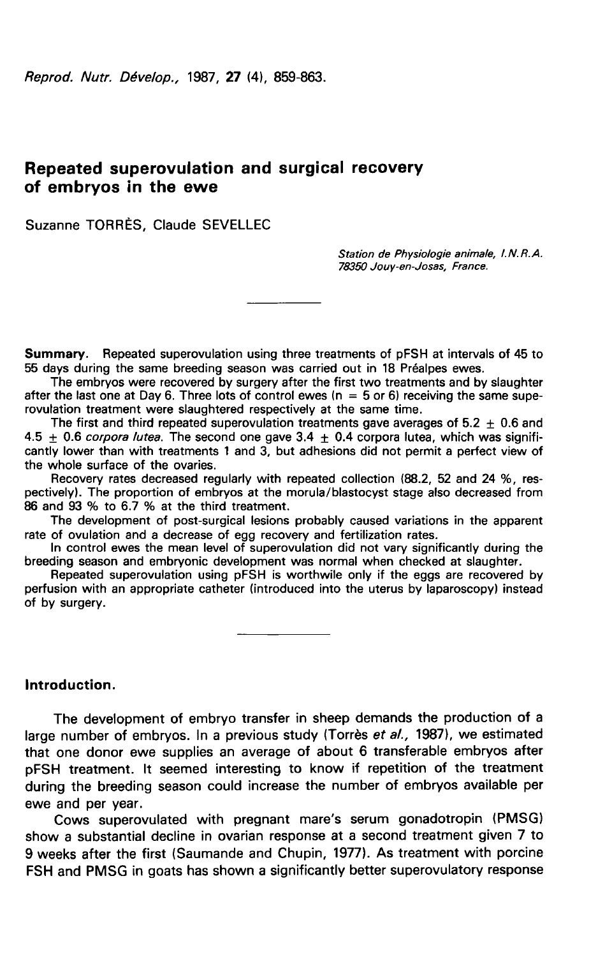# Repeated superovulation and surgical recovery of embryos in the ewe

Suzanne TORRÈS, Claude SEVELLEC

Station de Physiologie animale, 1. N. R. A. 78350 Jouy-en-Josas, France.

Summary. Repeated superovulation using three treatments of pFSH at intervals of 45 to 55 days during the same breeding season was carried out in 18 Préalpes ewes.

The embryos were recovered by surgery after the first two treatments and by slaughter after the last one at Day 6. Three lots of control ewes  $(n = 5 \text{ or } 6)$  receiving the same superovulation treatment were slaughtered respectively at the same time.

The first and third repeated superovulation treatments gave averages of  $5.2 \pm 0.6$  and 4.5  $\pm$  0.6 corpora lutea. The second one gave 3.4  $\pm$  0.4 corpora lutea, which was significantly lower than with treatments 1 and 3, but adhesions did not permit a perfect view of the whole surface of the ovaries.

Recovery rates decreased regularly with repeated collection (88.2, 52 and 24 %, respectively). The proportion of embryos at the morula/blastocyst stage also decreased from 86 and 93 % to 6.7 % at the third treatment.

The development of post-surgical lesions probably caused variations in the apparent rate of ovulation and a decrease of egg recovery and fertilization rates.

In control ewes the mean level of superovulation did not vary significantly during the breeding season and embryonic development was normal when checked at slaughter.

Repeated superovulation using pFSH is worthwile only if the eggs are recovered by perfusion with an appropriate catheter (introduced into the uterus by laparoscopy) instead of by surgery.

Introduction.

The development of embryo transfer in sheep demands the production of a large number of embryos. In a previous study (Torrès et al., 1987), we estimated that one donor ewe supplies an average of about 6 transferable embryos after pFSH treatment. It seemed interesting to know if repetition of the treatment during the breeding season could increase the number of embryos available per ewe and per year.

Cows superovulated with pregnant mare's serum gonadotropin (PMSG) show a substantial decline in ovarian response at a second treatment given 7 to 9 weeks after the first (Saumande and Chupin, 1977). As treatment with porcine FSH and PMSG in goats has shown a significantly better superovulatory response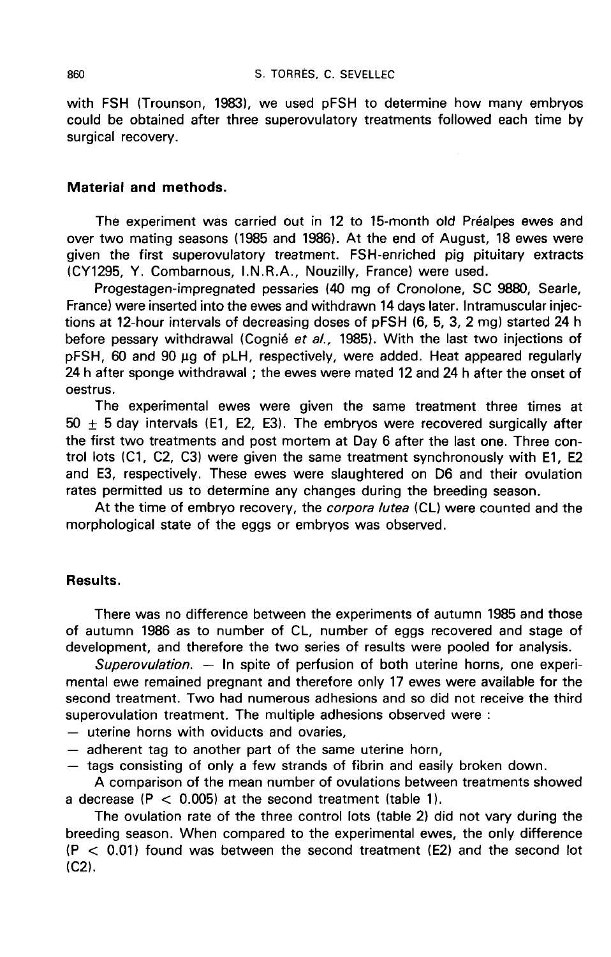with FSH (Trounson, 1983), we used pFSH to determine how many embryos could be obtained after three superovulatory treatments followed each time by surgical recovery.

#### Material and methods.

The experiment was carried out in 12 to 15-month old Préalpes ewes and over two mating seasons (1985 and 1986). At the end of August, 18 ewes were given the first superovulatory treatment. FSH-enriched pig pituitary extracts (CY1295, Y. Combarnous, I.N.R.A., Nouzilly, France) were used.

Progestagen-impregnated pessaries (40 mg of Cronolone, SC 9880, Searle, France) were inserted into the ewes and withdrawn 14 days later. Intramuscular injections at 12-hour intervals of decreasing doses of pFSH (6, 5, 3, 2 mg) started 24 h before pessary withdrawal (Cognié et al., 1985). With the last two injections of pFSH, 60 and 90 ug of pLH, respectively, were added. Heat appeared regularly 24 h after sponge withdrawal ; the ewes were mated 12 and 24 h after the onset of oestrus.

The experimental ewes were given the same treatment three times at  $50 \pm 5$  day intervals (E1, E2, E3). The embryos were recovered surgically after the first two treatments and post mortem at Day 6 after the last one. Three control lots (C1, C2, C3) were given the same treatment synchronously with E1, E2 and E3, respectively. These ewes were slaughtered on D6 and their ovulation rates permitted us to determine any changes during the breeding season.

At the time of embryo recovery, the *corpora lutea* (CL) were counted and the morphological state of the eggs or embryos was observed.

## Results.

There was no difference between the experiments of autumn 1985 and those of autumn 1986 as to number of CL, number of eggs recovered and stage of development, and therefore the two series of results were pooled for analysis.

Superovulation.  $-$  In spite of perfusion of both uterine horns, one experimental ewe remained pregnant and therefore only 17 ewes were available for the second treatment. Two had numerous adhesions and so did not receive the third superovulation treatment. The multiple adhesions observed were :

- uterine horns with oviducts and ovaries,<br>- adherent tag to another part of the same uterine horn,<br>- tags consisting of only a few strands of fibrin and easily broken down.

A comparison of the mean number of ovulations between treatments showed a decrease  $(P < 0.005)$  at the second treatment (table 1).

The ovulation rate of the three control lots (table 2) did not vary during the breeding season. When compared to the experimental ewes, the only difference  $(P < 0.01)$  found was between the second treatment (E2) and the second lot (C2).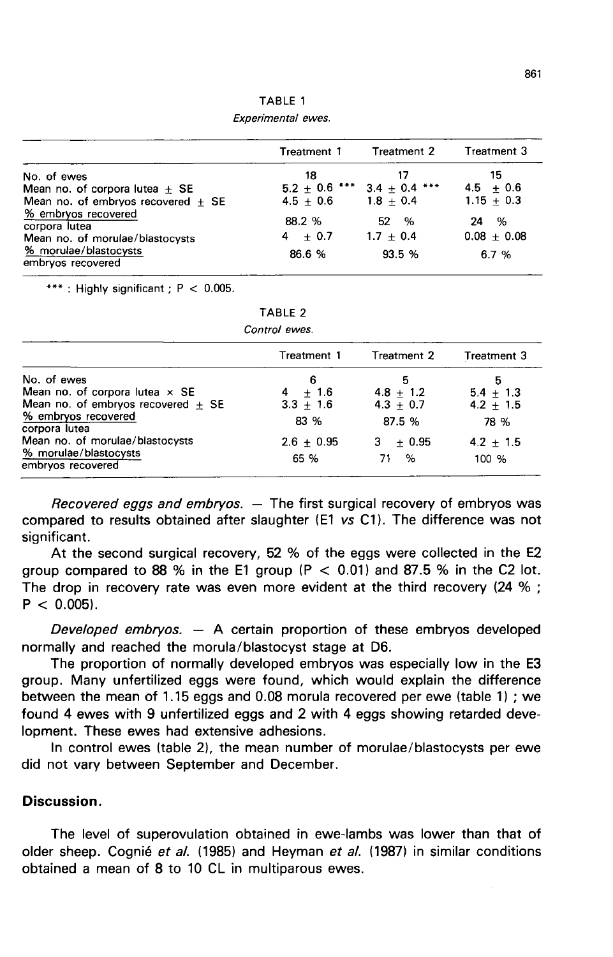TABLE 1 Experimental ewes.

|                                                                         | Treatment 1         | Treatment 2                         | Treatment 3              |
|-------------------------------------------------------------------------|---------------------|-------------------------------------|--------------------------|
| No. of ewes                                                             | 18                  |                                     | 15                       |
| Mean no. of corpora lutea $+$ SE                                        |                     | $5.2 \pm 0.6$ *** 3.4 $\pm$ 0.4 *** | $4.5 + 0.6$              |
| Mean no. of embryos recovered $\pm$ SE                                  | $4.5 + 0.6$         | $1.8 + 0.4$                         | $1.15 + 0.3$             |
| % embryos recovered<br>corpora lutea<br>Mean no. of morulae/blastocysts | 88.2 %<br>$4 + 0.7$ | %<br>52<br>$1.7 + 0.4$              | %<br>24<br>$0.08 + 0.08$ |
| % morulae/blastocysts<br>embryos recovered                              | 86.6 %              | 93.5 %                              | 6.7%                     |

\*\*\*: Highly significant ;  $P < 0.005$ .

| ABL |  |  |
|-----|--|--|
|     |  |  |

| Control ewes. |  |
|---------------|--|
|---------------|--|

|                                            | Treatment 1  | Treatment 2   | Treatment 3   |
|--------------------------------------------|--------------|---------------|---------------|
| No. of ewes                                | 6            | 5             | 5             |
| Mean no. of corpora lutea $\times$ SE      | $+1.6$<br>4  | $4.8 + 1.2$   | $5.4 + 1.3$   |
| Mean no. of embryos recovered $+$ SE       | $3.3 + 1.6$  | $4.3 + 0.7$   | 4.2 $\pm$ 1.5 |
| % embryos recovered<br>corpora lutea       | 83 %         | 87.5 %        | 78 %          |
| Mean no. of morulae/blastocysts            | $2.6 + 0.95$ | $+0.95$<br>з. | $4.2 + 1.5$   |
| % morulae/blastocysts<br>embryos recovered | 65 %         | ℅<br>71       | 100 %         |

Recovered eggs and embryos.  $-$  The first surgical recovery of embryos was compared to results obtained after slaughter (E1 vs C11. The difference was not significant.

At the second surgical recovery, 52 % of the eggs were collected in the E2 group compared to 88 % in the E1 group ( $P < 0.01$ ) and 87.5 % in the C2 lot. The drop in recovery rate was even more evident at the third recovery (24 % ;  $P < 0.005$ ).

Developed embryos.  $-$  A certain proportion of these embryos developed normally and reached the morula/blastocyst stage at D6.

The proportion of normally developed embryos was especially low in the E3 group. Many unfertilized eggs were found, which would explain the difference between the mean of 1.15 eggs and 0.08 morula recovered per ewe (table 1) ; we found 4 ewes with 9 unfertilized eggs and 2 with 4 eggs showing retarded development. These ewes had extensive adhesions.

In control ewes (table 2), the mean number of morulae/blastocysts per ewe did not vary between September and December.

## Discussion.

The level of superovulation obtained in ewe-lambs was lower than that of older sheep. Cognié et al. (1985) and Heyman et al. (1987) in similar conditions obtained a mean of 8 to 10 CL in multiparous ewes.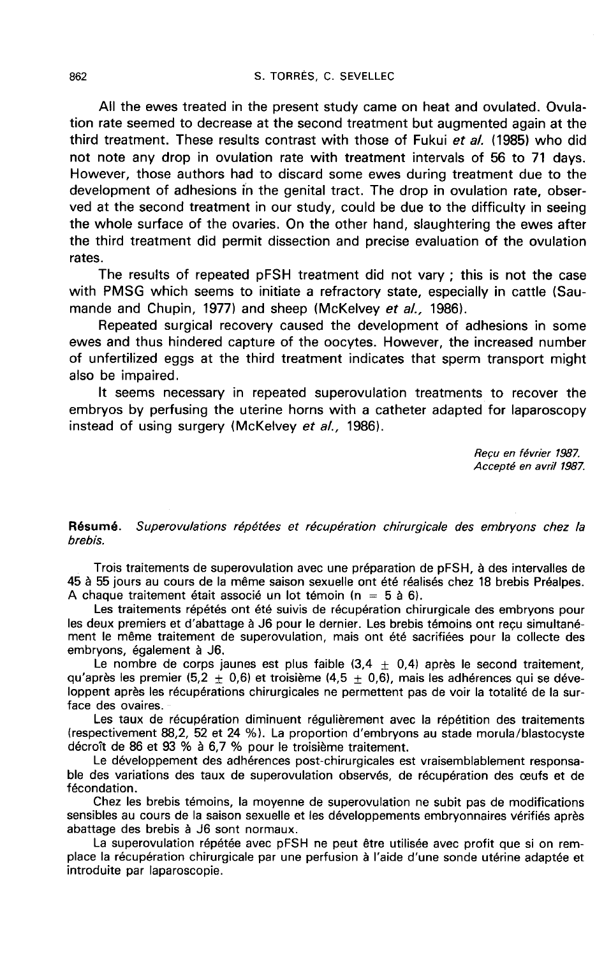All the ewes treated in the present study came on heat and ovulated. Ovulation rate seemed to decrease at the second treatment but augmented again at the third treatment. These results contrast with those of Fukui et al. (1985) who did not note any drop in ovulation rate with treatment intervals of 56 to 71 days. However, those authors had to discard some ewes during treatment due to the development of adhesions in the genital tract. The drop in ovulation rate, observed at the second treatment in our study, could be due to the difficulty in seeing the whole surface of the ovaries. On the other hand, slaughtering the ewes after the third treatment did permit dissection and precise evaluation of the ovulation rates.

The results of repeated pFSH treatment did not vary ; this is not the case with PMSG which seems to initiate a refractory state, especially in cattle (Saumande and Chupin, 1977) and sheep (McKelvey et al., 1986).

Repeated surgical recovery caused the development of adhesions in some ewes and thus hindered capture of the oocytes. However, the increased number of unfertilized eggs at the third treatment indicates that sperm transport might also be impaired.

It seems necessary in repeated superovulation treatments to recover the embryos by perfusing the uterine horns with a catheter adapted for laparoscopy instead of using surgery (McKelvey et al., 1986).

> Recu en février 1987. Accept6 en avril 1987.

Résumé. Superovulations répétées et récupération chirurgicale des embryons chez la brebis.

Trois traitements de superovulation avec une préparation de pFSH, à des intervalles de 45 à 55 jours au cours de la même saison sexuelle ont été réalisés chez 18 brebis Préalpes. A chaque traitement était associé un lot témoin ( $n = 5$  à 6).

Les traitements répétés ont été suivis de récupération chirurgicale des embryons pour les deux premiers et d'abattage à J6 pour le dernier. Les brebis témoins ont reçu simultanément le même traitement de superovulation, mais ont été sacrifiées pour la collecte des embryons, également à J6.

Le nombre de corps jaunes est plus faible  $(3.4 \pm 0.4)$  après le second traitement, qu'après les premier (5,2  $\pm$  0,6) et troisième (4,5  $\pm$  0,6), mais les adhérences qui se développent après les récupérations chirurgicales ne permettent pas de voir la totalité de la surface des ovaires.

Les taux de récupération diminuent régulièrement avec la répétition des traitements (respectivement 88,2, 52 et 24 %1. La proportion d'embryons au stade morula/blastocyste décroît de 86 et 93 % à 6,7 % pour le troisième traitement.

Le développement des adhérences post-chirurgicales est vraisemblablement responsable des variations des taux de superovulation observés, de récupération des ceufs et de fécondation.

Chez les brebis témoins, la moyenne de superovulation ne subit pas de modifications sensibles au cours de la saison sexuelle et les développements embryonnaires vérifiés après abattage des brebis à J6 sont normaux.

La superovulation répétée avec pFSH ne peut être utilisée avec profit que si on remplace la récupération chirurgicale par une perfusion à l'aide d'une sonde utérine adaptée et introduite par laparoscopie.